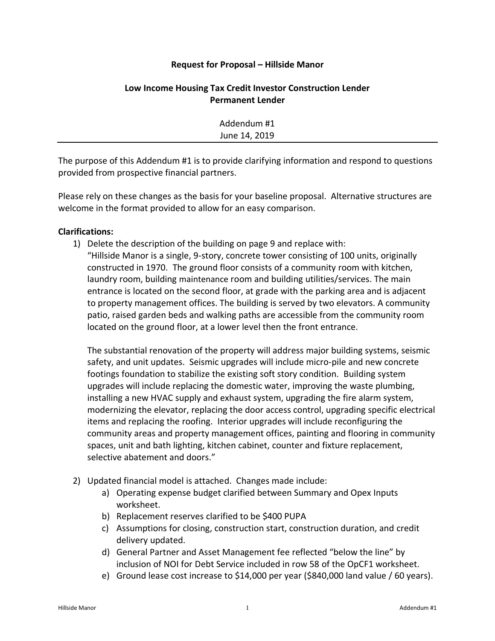## **Request for Proposal – Hillside Manor**

## **Low Income Housing Tax Credit Investor Construction Lender Permanent Lender**

| Addendum #1   |  |
|---------------|--|
| June 14, 2019 |  |

The purpose of this Addendum #1 is to provide clarifying information and respond to questions provided from prospective financial partners.

Please rely on these changes as the basis for your baseline proposal. Alternative structures are welcome in the format provided to allow for an easy comparison.

## **Clarifications:**

1) Delete the description of the building on page 9 and replace with:

"Hillside Manor is a single, 9-story, concrete tower consisting of 100 units, originally constructed in 1970. The ground floor consists of a community room with kitchen, laundry room, building maintenance room and building utilities/services. The main entrance is located on the second floor, at grade with the parking area and is adjacent to property management offices. The building is served by two elevators. A community patio, raised garden beds and walking paths are accessible from the community room located on the ground floor, at a lower level then the front entrance.

The substantial renovation of the property will address major building systems, seismic safety, and unit updates. Seismic upgrades will include micro-pile and new concrete footings foundation to stabilize the existing soft story condition. Building system upgrades will include replacing the domestic water, improving the waste plumbing, installing a new HVAC supply and exhaust system, upgrading the fire alarm system, modernizing the elevator, replacing the door access control, upgrading specific electrical items and replacing the roofing. Interior upgrades will include reconfiguring the community areas and property management offices, painting and flooring in community spaces, unit and bath lighting, kitchen cabinet, counter and fixture replacement, selective abatement and doors."

- 2) Updated financial model is attached. Changes made include:
	- a) Operating expense budget clarified between Summary and Opex Inputs worksheet.
	- b) Replacement reserves clarified to be \$400 PUPA
	- c) Assumptions for closing, construction start, construction duration, and credit delivery updated.
	- d) General Partner and Asset Management fee reflected "below the line" by inclusion of NOI for Debt Service included in row 58 of the OpCF1 worksheet.
	- e) Ground lease cost increase to \$14,000 per year (\$840,000 land value / 60 years).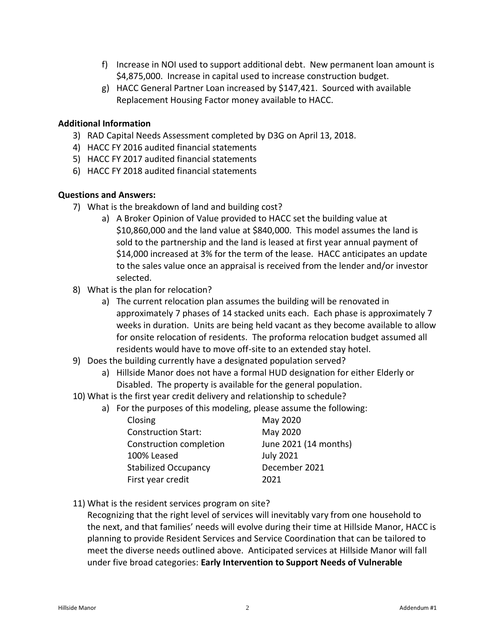- f) Increase in NOI used to support additional debt. New permanent loan amount is \$4,875,000. Increase in capital used to increase construction budget.
- g) HACC General Partner Loan increased by \$147,421. Sourced with available Replacement Housing Factor money available to HACC.

## **Additional Information**

- 3) RAD Capital Needs Assessment completed by D3G on April 13, 2018.
- 4) HACC FY 2016 audited financial statements
- 5) HACC FY 2017 audited financial statements
- 6) HACC FY 2018 audited financial statements

## **Questions and Answers:**

- 7) What is the breakdown of land and building cost?
	- a) A Broker Opinion of Value provided to HACC set the building value at \$10,860,000 and the land value at \$840,000. This model assumes the land is sold to the partnership and the land is leased at first year annual payment of \$14,000 increased at 3% for the term of the lease. HACC anticipates an update to the sales value once an appraisal is received from the lender and/or investor selected.
- 8) What is the plan for relocation?
	- a) The current relocation plan assumes the building will be renovated in approximately 7 phases of 14 stacked units each. Each phase is approximately 7 weeks in duration. Units are being held vacant as they become available to allow for onsite relocation of residents. The proforma relocation budget assumed all residents would have to move off-site to an extended stay hotel.
- 9) Does the building currently have a designated population served?
	- a) Hillside Manor does not have a formal HUD designation for either Elderly or Disabled. The property is available for the general population.
- 10) What is the first year credit delivery and relationship to schedule?
	- a) For the purposes of this modeling, please assume the following:

| Closing                     | May 2020              |
|-----------------------------|-----------------------|
| <b>Construction Start:</b>  | May 2020              |
| Construction completion     | June 2021 (14 months) |
| 100% Leased                 | <b>July 2021</b>      |
| <b>Stabilized Occupancy</b> | December 2021         |
| First year credit           | 2021                  |

11) What is the resident services program on site?

Recognizing that the right level of services will inevitably vary from one household to the next, and that families' needs will evolve during their time at Hillside Manor, HACC is planning to provide Resident Services and Service Coordination that can be tailored to meet the diverse needs outlined above. Anticipated services at Hillside Manor will fall under five broad categories: **Early Intervention to Support Needs of Vulnerable**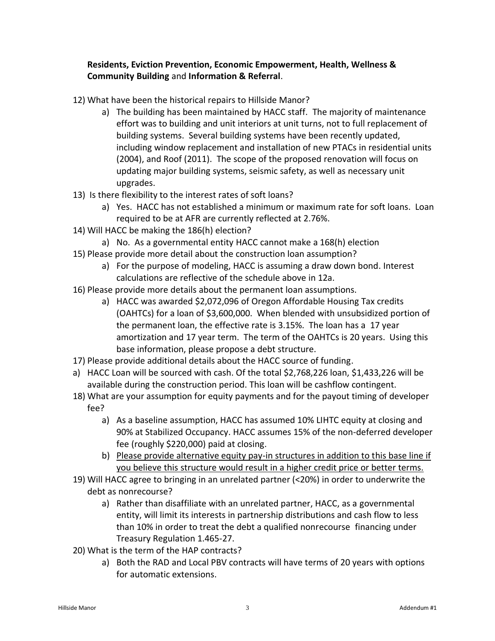# **Residents, Eviction Prevention, Economic Empowerment, Health, Wellness & Community Building** and **Information & Referral**.

- 12) What have been the historical repairs to Hillside Manor?
	- a) The building has been maintained by HACC staff. The majority of maintenance effort was to building and unit interiors at unit turns, not to full replacement of building systems. Several building systems have been recently updated, including window replacement and installation of new PTACs in residential units (2004), and Roof (2011). The scope of the proposed renovation will focus on updating major building systems, seismic safety, as well as necessary unit upgrades.
- 13) Is there flexibility to the interest rates of soft loans?
	- a) Yes. HACC has not established a minimum or maximum rate for soft loans. Loan required to be at AFR are currently reflected at 2.76%.
- 14) Will HACC be making the 186(h) election?
	- a) No. As a governmental entity HACC cannot make a 168(h) election
- 15) Please provide more detail about the construction loan assumption?
	- a) For the purpose of modeling, HACC is assuming a draw down bond. Interest calculations are reflective of the schedule above in 12a.
- 16) Please provide more details about the permanent loan assumptions.
	- a) HACC was awarded \$2,072,096 of Oregon Affordable Housing Tax credits (OAHTCs) for a loan of \$3,600,000. When blended with unsubsidized portion of the permanent loan, the effective rate is 3.15%. The loan has a 17 year amortization and 17 year term. The term of the OAHTCs is 20 years. Using this base information, please propose a debt structure.
- 17) Please provide additional details about the HACC source of funding.
- a) HACC Loan will be sourced with cash. Of the total \$2,768,226 loan, \$1,433,226 will be available during the construction period. This loan will be cashflow contingent.
- 18) What are your assumption for equity payments and for the payout timing of developer fee?
	- a) As a baseline assumption, HACC has assumed 10% LIHTC equity at closing and 90% at Stabilized Occupancy. HACC assumes 15% of the non-deferred developer fee (roughly \$220,000) paid at closing.
	- b) Please provide alternative equity pay-in structures in addition to this base line if you believe this structure would result in a higher credit price or better terms.
- 19) Will HACC agree to bringing in an unrelated partner (<20%) in order to underwrite the debt as nonrecourse?
	- a) Rather than disaffiliate with an unrelated partner, HACC, as a governmental entity, will limit its interests in partnership distributions and cash flow to less than 10% in order to treat the debt a qualified nonrecourse financing under Treasury Regulation 1.465-27.
- 20) What is the term of the HAP contracts?
	- a) Both the RAD and Local PBV contracts will have terms of 20 years with options for automatic extensions.